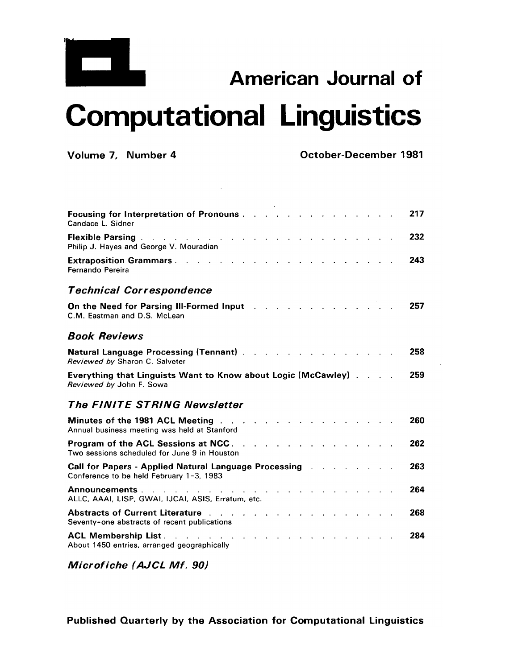

## **American Journal of Computational Linguistics**

**Volume 7, Number 4 October-December 1981** 

| 217<br><b>Focusing for Interpretation of Pronouns</b><br>Candace L. Sidner                                             |     |
|------------------------------------------------------------------------------------------------------------------------|-----|
| 232<br><b>Flexible Parsing.</b><br>the contract of the contract of the con-<br>Philip J. Hayes and George V. Mouradian |     |
| 243<br><b>Extraposition Grammars </b><br>Fernando Pereira                                                              |     |
| <b>Technical Correspondence</b>                                                                                        |     |
| 257<br>On the Need for Parsing III-Formed Input<br>C.M. Eastman and D.S. McLean                                        |     |
| <b>Book Reviews</b>                                                                                                    |     |
| 258<br><b>Natural Language Processing (Tennant)</b><br>Reviewed by Sharon C. Salveter                                  |     |
| 259<br><b>Everything that Linguists Want to Know about Logic (McCawley)</b> .<br>Reviewed by John F. Sowa              |     |
| <b>The FINITE STRING Newsletter</b>                                                                                    |     |
| Minutes of the 1981 ACL Meeting<br>Annual business meeting was held at Stanford                                        | 260 |
| Program of the ACL Sessions at NCC.<br>Two sessions scheduled for June 9 in Houston                                    | 262 |
| 263<br>Call for Papers - Applied Natural Language Processing.<br>Conference to be held February 1-3, 1983              |     |
| Announcements.<br>ALLC, AAAI, LISP, GWAI, IJCAI, ASIS, Erratum, etc.                                                   | 264 |
| <b>Abstracts of Current Literature</b><br>Seventy-one abstracts of recent publications                                 | 268 |
| <b>ACL Membership List.</b><br>284<br>About 1450 entries, arranged geographically                                      |     |

*Microfiche (AJCL Mf. 90)*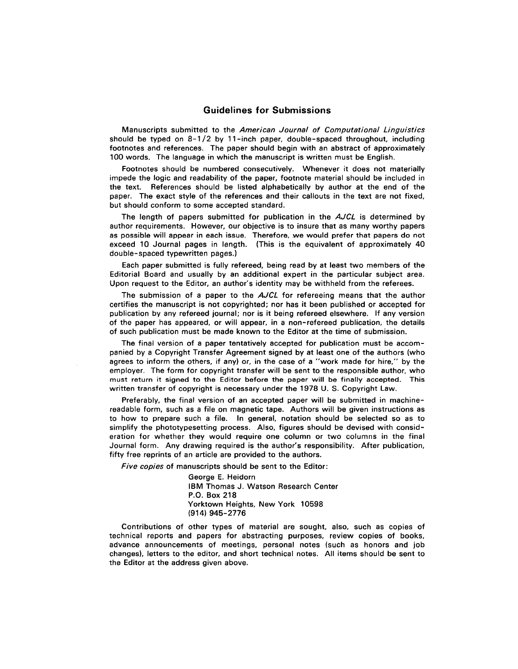## Guidelines for Submissions

Manuscripts submitted to the *American Journal of Computational Linguistics*  should be typed on  $8-1/2$  by 11-inch paper, double-spaced throughout, including footnotes and references. The paper should begin with an abstract of approximately 100 words. The language in which the manuscript is written must be English.

Footnotes should be numbered consecutively. Whenever it does not materially impede the logic and readability of the paper, footnote material should be included in the text. References should be listed alphabetically by author at the end of the paper. The exact style of the references and their callouts in the text are not fixed, but should conform to some accepted standard.

The length of papers submitted for publication in the *AJCL* is determined by author requirements. However, our objective is to insure that as many worthy papers as possible will appear in each issue. Therefore, we would prefer that papers do not exceed 10 Journal pages in length. (This is the equivalent of approximately 40 double-spaced typewritten pages.)

Each paper submitted is fully refereed, being read by at least two members of the Editorial Board and usually by an additional expert in the particular subject area. Upon request to the Editor, an author's identity may be withheld from the referees.

The submission of a paper to the *AJCL* for refereeing means that the author certifies the manuscript is not copyrighted; nor has it been published or accepted for publication by any refereed journal; nor is it being refereed elsewhere. If any version of the paper has appeared, or will appear, in a non-refereed publication, the details of such publication must be made known to the Editor at the time of submission.

The final version of a paper tentatively accepted for publication must be accompanied by a Copyright Transfer Agreement signed by at least one of the authors (who agrees to inform the others, if any) or, in the case of a "work made for hire," by the employer. The form for copyright transfer will be sent to the responsible author, who must return it signed to the Editor before the paper will be finally accepted. This written transfer of copyright is necessary under the 1978 U. S. Copyright Law.

Preferably, the final version of an accepted paper will be submitted in machinereadable form, such as a file on magnetic tape. Authors will be given instructions as to how to prepare such a file. In general, notation should be selected so as to simplify the phototypesetting process. Also, figures should be devised with consideration for whether they would require one column or two columns in the final Journal form. Any drawing required is the author's responsibility. After publication, fifty free reprints of an article are provided to the authors.

*Five copies* of manuscripts should be sent to the Editor:

George E. Heidorn IBM Thomas J. Watson Research Center P.O. Box 218 Yorktown Heights, New York 10598 (914) 945-2776

Contributions of other types of material are sought, also, such as copies of technical reports and papers for abstracting purposes, review copies of books, advance announcements of meetings, personal notes (such as honors and job changes), letters to the editor, and short technical notes. All items should be sent to the Editor at the address given above.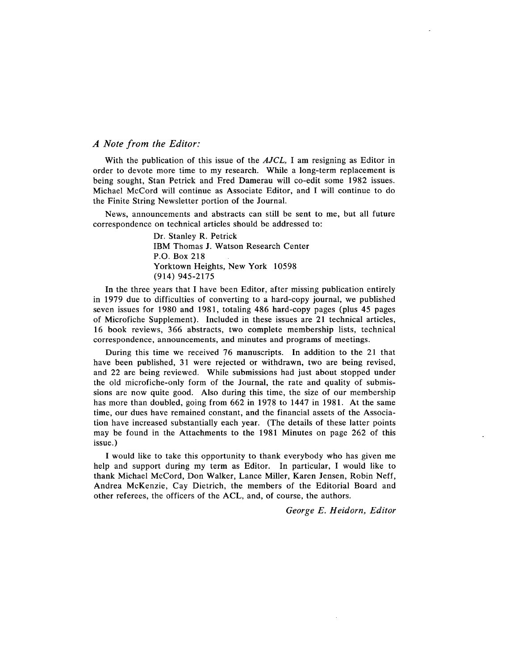## *A Note from the Editor:*

With the publication of this issue of the *AJCL,* I am resigning as Editor in order to devote more time to my research. While a long-term replacement is being sought, Stan Petrick and Fred Damerau will co-edit some 1982 issues. Michael McCord will continue as Associate Editor, and I will continue to do the Finite String Newsletter portion of the Journal.

News, announcements and abstracts can still be sent to me, but all future correspondence on technical articles should be addressed to:

> Dr. Stanley R. Petrick IBM Thomas J. Watson Research Center P.O. Box 218 Yorktown Heights, New York 10598 (914) 945-2175

In the three years that I have been Editor, after missing publication entirely in 1979 due to difficulties of converting to a hard-copy journal, we published seven issues for 1980 and 1981, totaling 486 hard-copy pages (plus 45 pages of Microfiche Supplement). Included in these issues are 21 technical articles, 16 book reviews, 366 abstracts, two complete membership lists, technical correspondence, announcements, and minutes and programs of meetings.

During this time we received 76 manuscripts. In addition to the 21 that have been published, 31 were rejected or withdrawn, two are being revised, and 22 are being reviewed. While submissions had just about stopped under the old microfiche-only form of the Journal, the rate and quality of submissions are now quite good. Also during this time, the size of our membership has more than doubled, going from 662 in 1978 to 1447 in 1981. At the same time, our dues have remained constant, and the financial assets of the Association have increased substantially each year. (The details of these latter points may be found in the Attachments to the 1981 Minutes on page 262 of this issue.)

I would like to take this opportunity to thank everybody who has given me help and support during my term as Editor. In particular, I would like to thank Michael McCord, Don Walker, Lance Miller, Karen Jensen, Robin Neff, Andrea McKenzie, Cay Dietrich, the members of the Editorial Board and other referees, the officers of the ACL, and, of course, the authors.

*George E. Heidorn, Editor*